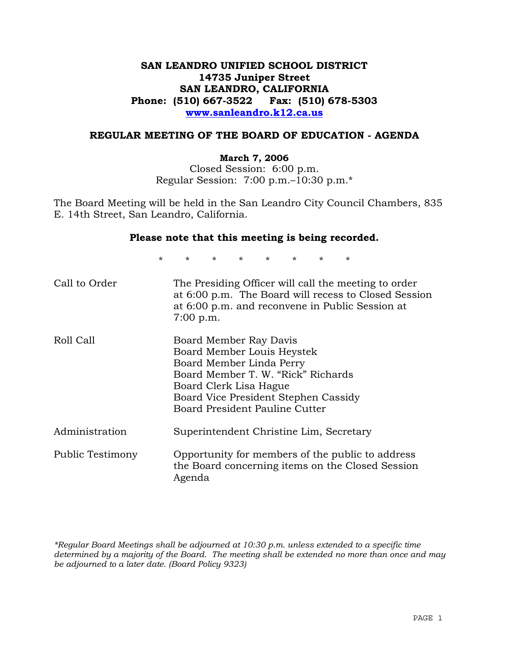# **SAN LEANDRO UNIFIED SCHOOL DISTRICT 14735 Juniper Street SAN LEANDRO, CALIFORNIA Phone: (510) 667-3522 Fax: (510) 678-5303 www.sanleandro.k12.ca.us**

#### **REGULAR MEETING OF THE BOARD OF EDUCATION - AGENDA**

#### **March 7, 2006**

Closed Session: 6:00 p.m. Regular Session: 7:00 p.m.–10:30 p.m.\*

The Board Meeting will be held in the San Leandro City Council Chambers, 835 E. 14th Street, San Leandro, California.

#### **Please note that this meeting is being recorded.**

\* \* \* \* \* \* \* \* Call to Order The Presiding Officer will call the meeting to order at 6:00 p.m. The Board will recess to Closed Session at 6:00 p.m. and reconvene in Public Session at 7:00 p.m. Roll Call Board Member Ray Davis Board Member Louis Heystek Board Member Linda Perry Board Member T. W. "Rick" Richards Board Clerk Lisa Hague Board Vice President Stephen Cassidy Board President Pauline Cutter Administration Superintendent Christine Lim, Secretary Public Testimony Opportunity for members of the public to address the Board concerning items on the Closed Session Agenda

*\*Regular Board Meetings shall be adjourned at 10:30 p.m. unless extended to a specific time determined by a majority of the Board. The meeting shall be extended no more than once and may be adjourned to a later date. (Board Policy 9323)*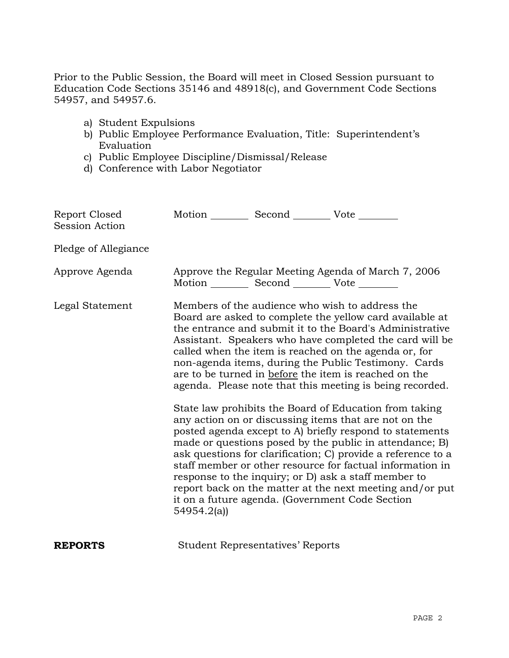Prior to the Public Session, the Board will meet in Closed Session pursuant to Education Code Sections 35146 and 48918(c), and Government Code Sections 54957, and 54957.6.

- a) Student Expulsions
- b) Public Employee Performance Evaluation, Title: Superintendent's Evaluation
- c) Public Employee Discipline/Dismissal/Release
- d) Conference with Labor Negotiator

| Report Closed<br>Session Action | Motion __________ Second __________ Vote ________                                                                                                                                                                                                                                                                                                                                                                                                                                                                                                                                                                                                                                                                                                                                                                                                                                                                                                                                                                                   |
|---------------------------------|-------------------------------------------------------------------------------------------------------------------------------------------------------------------------------------------------------------------------------------------------------------------------------------------------------------------------------------------------------------------------------------------------------------------------------------------------------------------------------------------------------------------------------------------------------------------------------------------------------------------------------------------------------------------------------------------------------------------------------------------------------------------------------------------------------------------------------------------------------------------------------------------------------------------------------------------------------------------------------------------------------------------------------------|
| Pledge of Allegiance            |                                                                                                                                                                                                                                                                                                                                                                                                                                                                                                                                                                                                                                                                                                                                                                                                                                                                                                                                                                                                                                     |
| Approve Agenda                  | Approve the Regular Meeting Agenda of March 7, 2006<br>Motion __________ Second __________ Vote ________                                                                                                                                                                                                                                                                                                                                                                                                                                                                                                                                                                                                                                                                                                                                                                                                                                                                                                                            |
| Legal Statement                 | Members of the audience who wish to address the<br>Board are asked to complete the yellow card available at<br>the entrance and submit it to the Board's Administrative<br>Assistant. Speakers who have completed the card will be<br>called when the item is reached on the agenda or, for<br>non-agenda items, during the Public Testimony. Cards<br>are to be turned in before the item is reached on the<br>agenda. Please note that this meeting is being recorded.<br>State law prohibits the Board of Education from taking<br>any action on or discussing items that are not on the<br>posted agenda except to A) briefly respond to statements<br>made or questions posed by the public in attendance; B)<br>ask questions for clarification; C provide a reference to a<br>staff member or other resource for factual information in<br>response to the inquiry; or D) ask a staff member to<br>report back on the matter at the next meeting and/or put<br>it on a future agenda. (Government Code Section<br>54954.2(a) |
| <b>REPORTS</b>                  | <b>Student Representatives' Reports</b>                                                                                                                                                                                                                                                                                                                                                                                                                                                                                                                                                                                                                                                                                                                                                                                                                                                                                                                                                                                             |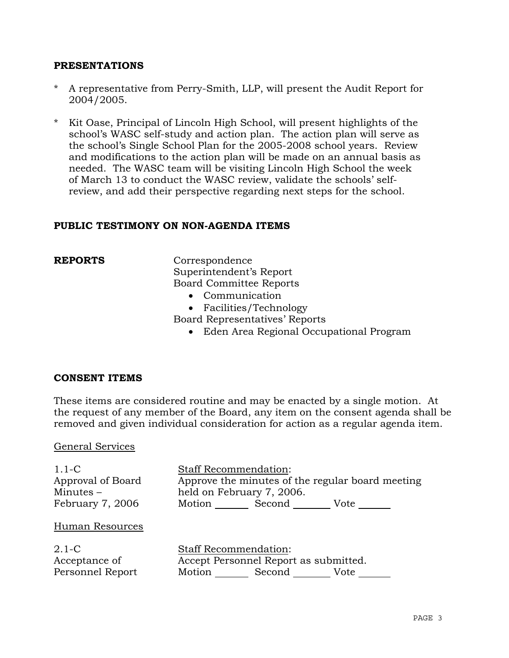### **PRESENTATIONS**

- A representative from Perry-Smith, LLP, will present the Audit Report for 2004/2005.
- \* Kit Oase, Principal of Lincoln High School, will present highlights of the school's WASC self-study and action plan. The action plan will serve as the school's Single School Plan for the 2005-2008 school years. Review and modifications to the action plan will be made on an annual basis as needed. The WASC team will be visiting Lincoln High School the week of March 13 to conduct the WASC review, validate the schools' selfreview, and add their perspective regarding next steps for the school.

#### **PUBLIC TESTIMONY ON NON-AGENDA ITEMS**

**REPORTS** Correspondence Superintendent's Report Board Committee Reports

- Communication
- Facilities/Technology

Board Representatives' Reports

• Eden Area Regional Occupational Program

#### **CONSENT ITEMS**

These items are considered routine and may be enacted by a single motion. At the request of any member of the Board, any item on the consent agenda shall be removed and given individual consideration for action as a regular agenda item.

#### General Services

| $1.1-C$<br>Approval of Board<br>Minutes $-$<br>February 7, 2006 | <b>Staff Recommendation:</b><br>Approve the minutes of the regular board meeting<br>held on February 7, 2006.<br>Motion Second<br>Vote |
|-----------------------------------------------------------------|----------------------------------------------------------------------------------------------------------------------------------------|
| Human Resources                                                 |                                                                                                                                        |
| $2.1-C$<br>Acceptance of<br>Personnel Report                    | <b>Staff Recommendation:</b><br>Accept Personnel Report as submitted.<br>Motion Second Vote                                            |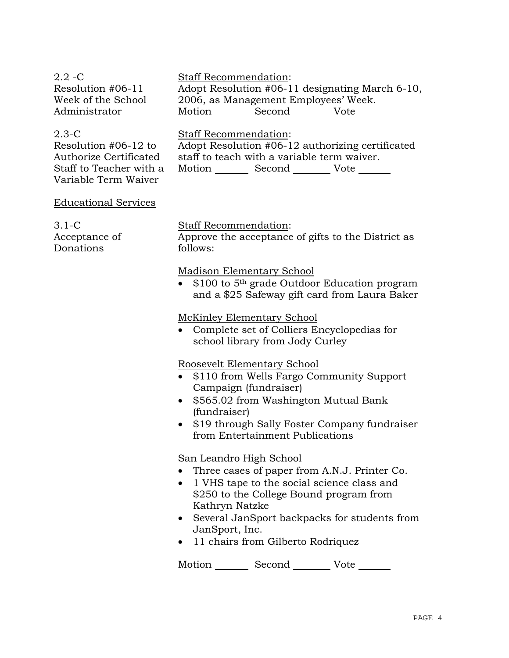| $2.2 - C$<br>Resolution #06-11<br>Week of the School<br>Administrator                                            | <b>Staff Recommendation:</b><br>Adopt Resolution #06-11 designating March 6-10,<br>2006, as Management Employees' Week.<br>Motion Second Vote         |
|------------------------------------------------------------------------------------------------------------------|-------------------------------------------------------------------------------------------------------------------------------------------------------|
| $2.3 - C$<br>Resolution $#06-12$ to<br>Authorize Certificated<br>Staff to Teacher with a<br>Variable Term Waiver | <b>Staff Recommendation:</b><br>Adopt Resolution #06-12 authorizing certificated<br>staff to teach with a variable term waiver.<br>Motion Second Vote |
| <b>Educational Services</b>                                                                                      |                                                                                                                                                       |
| $3.1-C$<br>Acceptance of<br>Donations                                                                            | <b>Staff Recommendation:</b><br>Approve the acceptance of gifts to the District as<br>follows:                                                        |
|                                                                                                                  | <b>Madison Elementary School</b><br>• $$100$ to 5 <sup>th</sup> grade Outdoor Education program<br>and a \$25 Safeway gift card from Laura Baker      |

## McKinley Elementary School

• Complete set of Colliers Encyclopedias for school library from Jody Curley

#### Roosevelt Elementary School

- \$110 from Wells Fargo Community Support Campaign (fundraiser)
- \$565.02 from Washington Mutual Bank (fundraiser)
- \$19 through Sally Foster Company fundraiser from Entertainment Publications

### San Leandro High School

- Three cases of paper from A.N.J. Printer Co.
- 1 VHS tape to the social science class and \$250 to the College Bound program from Kathryn Natzke
- Several JanSport backpacks for students from JanSport, Inc.
- 11 chairs from Gilberto Rodriquez

Motion Second Vote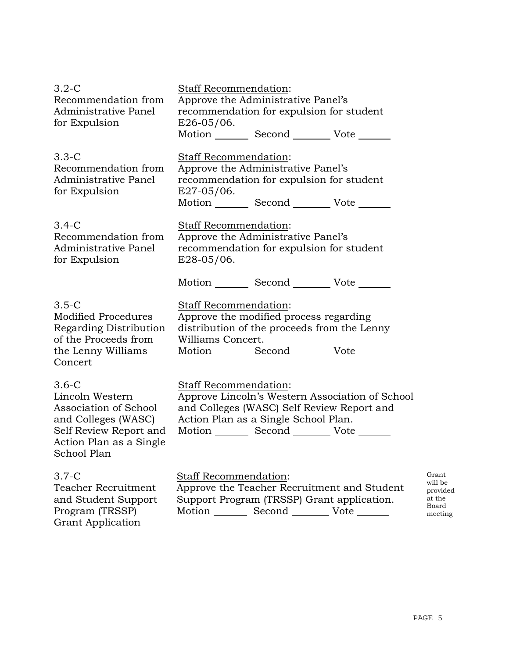| $3.2-C$<br>Recommendation from<br>Administrative Panel<br>for Expulsion                                                                        | <b>Staff Recommendation:</b><br>Approve the Administrative Panel's<br>recommendation for expulsion for student<br>$E26-05/06$ .                                                               |                                                            |
|------------------------------------------------------------------------------------------------------------------------------------------------|-----------------------------------------------------------------------------------------------------------------------------------------------------------------------------------------------|------------------------------------------------------------|
|                                                                                                                                                | Motion _________ Second __________ Vote _______                                                                                                                                               |                                                            |
| $3.3 - C$<br>Recommendation from<br>Administrative Panel<br>for Expulsion                                                                      | Staff Recommendation:<br>Approve the Administrative Panel's<br>recommendation for expulsion for student<br>$E27-05/06$ .<br>Motion Second Vote                                                |                                                            |
| $3.4-C$<br>Recommendation from<br>Administrative Panel<br>for Expulsion                                                                        | Staff Recommendation:<br>Approve the Administrative Panel's<br>recommendation for expulsion for student<br>$E28-05/06$ .                                                                      |                                                            |
|                                                                                                                                                | Motion _________ Second __________ Vote _______                                                                                                                                               |                                                            |
| $3.5 - C$<br><b>Modified Procedures</b><br>Regarding Distribution<br>of the Proceeds from<br>the Lenny Williams<br>Concert                     | <b>Staff Recommendation:</b><br>Approve the modified process regarding<br>distribution of the proceeds from the Lenny<br>Williams Concert.<br>Motion _________ Second __________ Vote _______ |                                                            |
| $3.6-C$<br>Lincoln Western<br>Association of School<br>and Colleges (WASC)<br>Self Review Report and<br>Action Plan as a Single<br>School Plan | Staff Recommendation:<br>Approve Lincoln's Western Association of School<br>and Colleges (WASC) Self Review Report and<br>Action Plan as a Single School Plan.<br>Motion Second Vote          |                                                            |
| $3.7-C$<br>Teacher Recruitment<br>and Student Support<br>Program (TRSSP)<br><b>Grant Application</b>                                           | Staff Recommendation:<br>Approve the Teacher Recruitment and Student<br>Support Program (TRSSP) Grant application.<br>Motion _________ Second __________ Vote _______                         | Grant<br>will be<br>provided<br>at the<br>Board<br>meeting |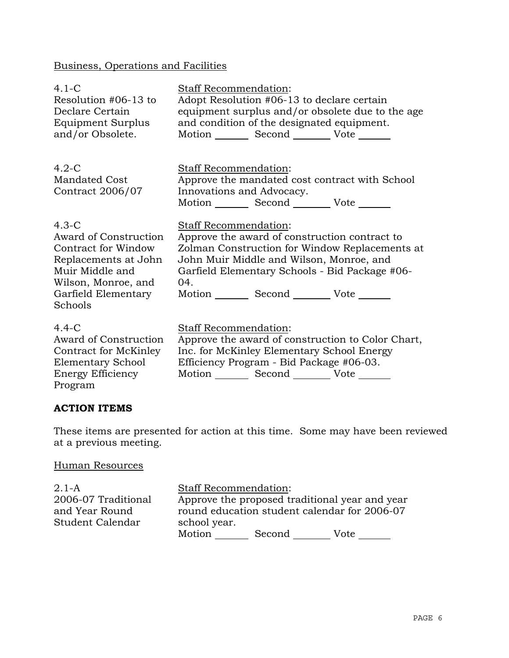# Business, Operations and Facilities

| $4.1 - C$<br>Resolution #06-13 to<br>Declare Certain<br>Equipment Surplus<br>and/or Obsolete.                                                               | <b>Staff Recommendation:</b><br>Adopt Resolution #06-13 to declare certain<br>equipment surplus and/or obsolete due to the age<br>and condition of the designated equipment.<br>Motion Second Vote ______                                                                        |
|-------------------------------------------------------------------------------------------------------------------------------------------------------------|----------------------------------------------------------------------------------------------------------------------------------------------------------------------------------------------------------------------------------------------------------------------------------|
| $4.2-C$<br><b>Mandated Cost</b><br>Contract 2006/07                                                                                                         | Staff Recommendation:<br>Approve the mandated cost contract with School<br>Innovations and Advocacy.<br>Motion _________ Second __________ Vote _______                                                                                                                          |
| $4.3-C$<br>Award of Construction<br>Contract for Window<br>Replacements at John<br>Muir Middle and<br>Wilson, Monroe, and<br>Garfield Elementary<br>Schools | Staff Recommendation:<br>Approve the award of construction contract to<br>Zolman Construction for Window Replacements at<br>John Muir Middle and Wilson, Monroe, and<br>Garfield Elementary Schools - Bid Package #06-<br>04.<br>Motion _________ Second __________ Vote _______ |
| $4.4-C$<br>Award of Construction<br>Contract for McKinley<br>Elementary School<br>Energy Efficiency<br>Program                                              | Staff Recommendation:<br>Approve the award of construction to Color Chart,<br>Inc. for McKinley Elementary School Energy<br>Efficiency Program - Bid Package #06-03.<br>Motion Second Vote                                                                                       |

# **ACTION ITEMS**

These items are presented for action at this time. Some may have been reviewed at a previous meeting.

### Human Resources

2.1-A 2006-07 Traditional and Year Round Student Calendar Staff Recommendation: Approve the proposed traditional year and year round education student calendar for 2006-07 school year. Motion Second Vote \_\_\_\_\_\_